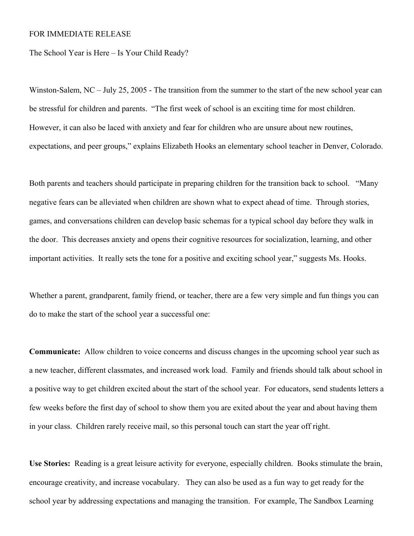## FOR IMMEDIATE RELEASE

The School Year is Here – Is Your Child Ready?

Winston-Salem, NC – July 25, 2005 - The transition from the summer to the start of the new school year can be stressful for children and parents. "The first week of school is an exciting time for most children. However, it can also be laced with anxiety and fear for children who are unsure about new routines, expectations, and peer groups," explains Elizabeth Hooks an elementary school teacher in Denver, Colorado.

Both parents and teachers should participate in preparing children for the transition back to school. "Many negative fears can be alleviated when children are shown what to expect ahead of time. Through stories, games, and conversations children can develop basic schemas for a typical school day before they walk in the door. This decreases anxiety and opens their cognitive resources for socialization, learning, and other important activities. It really sets the tone for a positive and exciting school year," suggests Ms. Hooks.

Whether a parent, grandparent, family friend, or teacher, there are a few very simple and fun things you can do to make the start of the school year a successful one:

**Communicate:** Allow children to voice concerns and discuss changes in the upcoming school year such as a new teacher, different classmates, and increased work load. Family and friends should talk about school in a positive way to get children excited about the start of the school year. For educators, send students letters a few weeks before the first day of school to show them you are exited about the year and about having them in your class. Children rarely receive mail, so this personal touch can start the year off right.

**Use Stories:** Reading is a great leisure activity for everyone, especially children. Books stimulate the brain, encourage creativity, and increase vocabulary. They can also be used as a fun way to get ready for the school year by addressing expectations and managing the transition. For example, The Sandbox Learning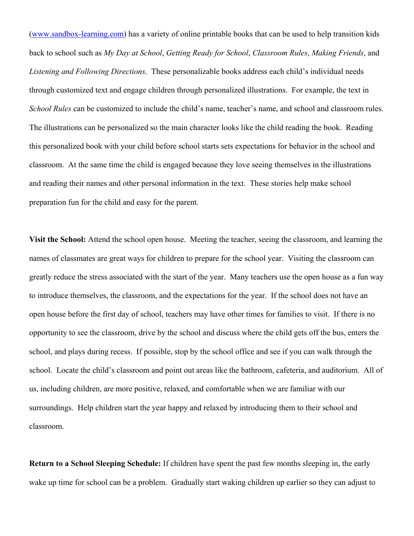(www.sandbox-learning.com) has a variety of online printable books that can be used to help transition kids back to school such as *My Day at School*, *Getting Ready for School*, *Classroom Rules*, *Making Friends*, and *Listening and Following Directions*. These personalizable books address each child's individual needs through customized text and engage children through personalized illustrations. For example, the text in *School Rules* can be customized to include the child's name, teacher's name, and school and classroom rules. The illustrations can be personalized so the main character looks like the child reading the book. Reading this personalized book with your child before school starts sets expectations for behavior in the school and classroom. At the same time the child is engaged because they love seeing themselves in the illustrations and reading their names and other personal information in the text. These stories help make school preparation fun for the child and easy for the parent.

**Visit the School:** Attend the school open house. Meeting the teacher, seeing the classroom, and learning the names of classmates are great ways for children to prepare for the school year. Visiting the classroom can greatly reduce the stress associated with the start of the year. Many teachers use the open house as a fun way to introduce themselves, the classroom, and the expectations for the year. If the school does not have an open house before the first day of school, teachers may have other times for families to visit. If there is no opportunity to see the classroom, drive by the school and discuss where the child gets off the bus, enters the school, and plays during recess. If possible, stop by the school office and see if you can walk through the school. Locate the child's classroom and point out areas like the bathroom, cafeteria, and auditorium. All of us, including children, are more positive, relaxed, and comfortable when we are familiar with our surroundings. Help children start the year happy and relaxed by introducing them to their school and classroom.

**Return to a School Sleeping Schedule:** If children have spent the past few months sleeping in, the early wake up time for school can be a problem. Gradually start waking children up earlier so they can adjust to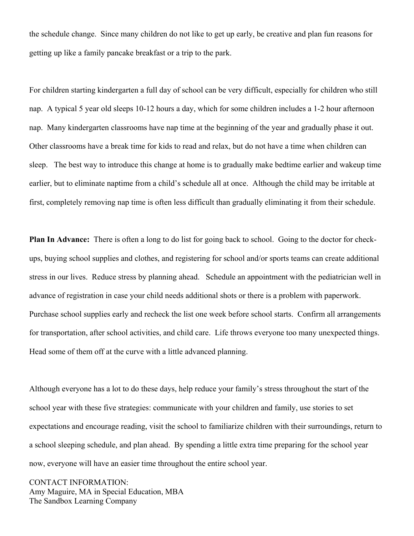the schedule change. Since many children do not like to get up early, be creative and plan fun reasons for getting up like a family pancake breakfast or a trip to the park.

For children starting kindergarten a full day of school can be very difficult, especially for children who still nap. A typical 5 year old sleeps 10-12 hours a day, which for some children includes a 1-2 hour afternoon nap. Many kindergarten classrooms have nap time at the beginning of the year and gradually phase it out. Other classrooms have a break time for kids to read and relax, but do not have a time when children can sleep. The best way to introduce this change at home is to gradually make bedtime earlier and wakeup time earlier, but to eliminate naptime from a child's schedule all at once. Although the child may be irritable at first, completely removing nap time is often less difficult than gradually eliminating it from their schedule.

**Plan In Advance:** There is often a long to do list for going back to school. Going to the doctor for checkups, buying school supplies and clothes, and registering for school and/or sports teams can create additional stress in our lives. Reduce stress by planning ahead. Schedule an appointment with the pediatrician well in advance of registration in case your child needs additional shots or there is a problem with paperwork. Purchase school supplies early and recheck the list one week before school starts. Confirm all arrangements for transportation, after school activities, and child care. Life throws everyone too many unexpected things. Head some of them off at the curve with a little advanced planning.

Although everyone has a lot to do these days, help reduce your family's stress throughout the start of the school year with these five strategies: communicate with your children and family, use stories to set expectations and encourage reading, visit the school to familiarize children with their surroundings, return to a school sleeping schedule, and plan ahead. By spending a little extra time preparing for the school year now, everyone will have an easier time throughout the entire school year.

CONTACT INFORMATION: Amy Maguire, MA in Special Education, MBA The Sandbox Learning Company